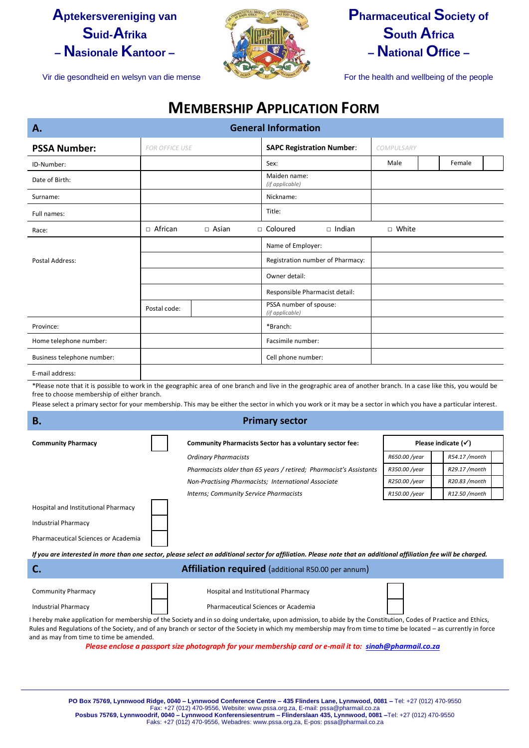## **Aptekersvereniging van Suid-Afrika – Nasionale Kantoor –**



## **Pharmaceutical Society of South Africa – National Office –**

Vir die gesondheid en welsyn van die mense For the health and wellbeing of the people

## **MEMBERSHIP APPLICATION FORM**

| <b>General Information</b><br>Α. |                       |              |                                           |                                  |            |  |        |  |
|----------------------------------|-----------------------|--------------|-------------------------------------------|----------------------------------|------------|--|--------|--|
| <b>PSSA Number:</b>              | <b>FOR OFFICE USE</b> |              | <b>SAPC Registration Number:</b>          |                                  | COMPULSARY |  |        |  |
| ID-Number:                       |                       |              | Sex:                                      |                                  | Male       |  | Female |  |
| Date of Birth:                   |                       |              | Maiden name:<br>(if applicable)           |                                  |            |  |        |  |
| Surname:                         |                       |              | Nickname:                                 |                                  |            |  |        |  |
| Full names:                      |                       |              | Title:                                    |                                  |            |  |        |  |
| Race:                            | □ African             | $\Box$ Asian | □ Coloured                                | $\Box$ Indian                    | □ White    |  |        |  |
|                                  |                       |              | Name of Employer:                         |                                  |            |  |        |  |
| Postal Address:                  |                       |              |                                           | Registration number of Pharmacy: |            |  |        |  |
|                                  |                       |              | Owner detail:                             |                                  |            |  |        |  |
|                                  |                       |              |                                           | Responsible Pharmacist detail:   |            |  |        |  |
|                                  | Postal code:          |              | PSSA number of spouse:<br>(if applicable) |                                  |            |  |        |  |
| Province:                        |                       |              | *Branch:                                  |                                  |            |  |        |  |
| Home telephone number:           |                       |              | Facsimile number:                         |                                  |            |  |        |  |
| Business telephone number:       |                       |              | Cell phone number:                        |                                  |            |  |        |  |
| E-mail address:                  |                       |              |                                           |                                  |            |  |        |  |

\*Please note that it is possible to work in the geographic area of one branch and live in the geographic area of another branch. In a case like this, you would be free to choose membership of either branch.

Please select a primary sector for your membership. This may be either the sector in which you work or it may be a sector in which you have a particular interest.

| В.                                                                                                                                                                 | <b>Primary sector</b>                                                                             |               |               |  |  |  |  |
|--------------------------------------------------------------------------------------------------------------------------------------------------------------------|---------------------------------------------------------------------------------------------------|---------------|---------------|--|--|--|--|
| <b>Community Pharmacy</b>                                                                                                                                          | Please indicate $(\checkmark)$<br><b>Community Pharmacists Sector has a voluntary sector fee:</b> |               |               |  |  |  |  |
|                                                                                                                                                                    | <b>Ordinary Pharmacists</b>                                                                       | R650.00 /year | R54.17 /month |  |  |  |  |
|                                                                                                                                                                    | Pharmacists older than 65 years / retired; Pharmacist's Assistants                                | R350.00 /year | R29.17 /month |  |  |  |  |
|                                                                                                                                                                    | Non-Practising Pharmacists; International Associate                                               | R250.00 /year | R20.83 /month |  |  |  |  |
|                                                                                                                                                                    | Interns; Community Service Pharmacists                                                            | R150.00 /year | R12.50 /month |  |  |  |  |
| Hospital and Institutional Pharmacy                                                                                                                                |                                                                                                   |               |               |  |  |  |  |
| <b>Industrial Pharmacy</b>                                                                                                                                         |                                                                                                   |               |               |  |  |  |  |
| Pharmaceutical Sciences or Academia                                                                                                                                |                                                                                                   |               |               |  |  |  |  |
| If you are interested in more than one sector, please select an additional sector for affiliation. Please note that an additional affiliation fee will be charged. |                                                                                                   |               |               |  |  |  |  |
| C.                                                                                                                                                                 | <b>Affiliation required</b> (additional R50.00 per annum)                                         |               |               |  |  |  |  |
| <b>Community Pharmacy</b>                                                                                                                                          | Hospital and Institutional Pharmacy                                                               |               |               |  |  |  |  |

I hereby make application for membership of the Society and in so doing undertake, upon admission, to abide by the Constitution, Codes of Practice and Ethics, Rules and Regulations of the Society, and of any branch or sector of the Society in which my membership may from time to time be located – as currently in force and as may from time to time be amended.

Industrial Pharmacy **Pharmaceutical Sciences or Academia** 

*Please enclose a passport size photograph for your membership card or e-mail it to: [sinah@pharmail.co.za](mailto:sinah@pharmail.co.za)*